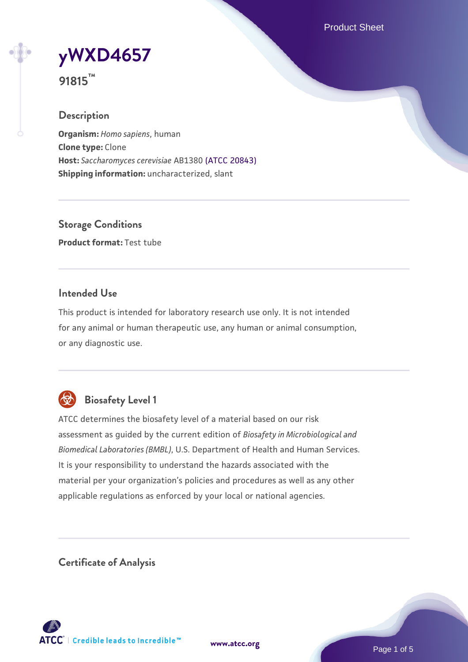Product Sheet



**91815™**

### **Description**

**Organism:** *Homo sapiens*, human **Clone type:** Clone **Host:** *Saccharomyces cerevisiae* AB1380 [\(ATCC 20843\)](https://www.atcc.org/products/20843) **Shipping information:** uncharacterized, slant

**Storage Conditions Product format:** Test tube

#### **Intended Use**

This product is intended for laboratory research use only. It is not intended for any animal or human therapeutic use, any human or animal consumption, or any diagnostic use.



## **Biosafety Level 1**

ATCC determines the biosafety level of a material based on our risk assessment as guided by the current edition of *Biosafety in Microbiological and Biomedical Laboratories (BMBL)*, U.S. Department of Health and Human Services. It is your responsibility to understand the hazards associated with the material per your organization's policies and procedures as well as any other applicable regulations as enforced by your local or national agencies.

**Certificate of Analysis**

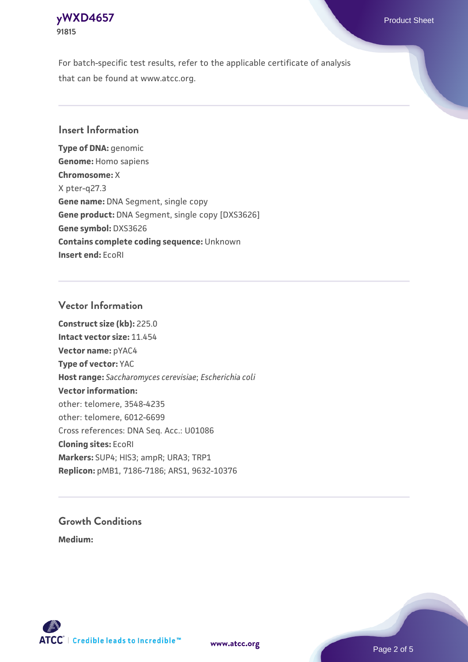## **[yWXD4657](https://www.atcc.org/products/91815)** Product Sheet **91815**

For batch-specific test results, refer to the applicable certificate of analysis that can be found at www.atcc.org.

#### **Insert Information**

**Type of DNA:** genomic **Genome:** Homo sapiens **Chromosome:** X X pter-q27.3 **Gene name:** DNA Segment, single copy **Gene product:** DNA Segment, single copy [DXS3626] **Gene symbol:** DXS3626 **Contains complete coding sequence:** Unknown **Insert end:** EcoRI

#### **Vector Information**

**Construct size (kb):** 225.0 **Intact vector size:** 11.454 **Vector name:** pYAC4 **Type of vector:** YAC **Host range:** *Saccharomyces cerevisiae*; *Escherichia coli* **Vector information:** other: telomere, 3548-4235 other: telomere, 6012-6699 Cross references: DNA Seq. Acc.: U01086 **Cloning sites:** EcoRI **Markers:** SUP4; HIS3; ampR; URA3; TRP1 **Replicon:** pMB1, 7186-7186; ARS1, 9632-10376

# **Growth Conditions**

**Medium:** 



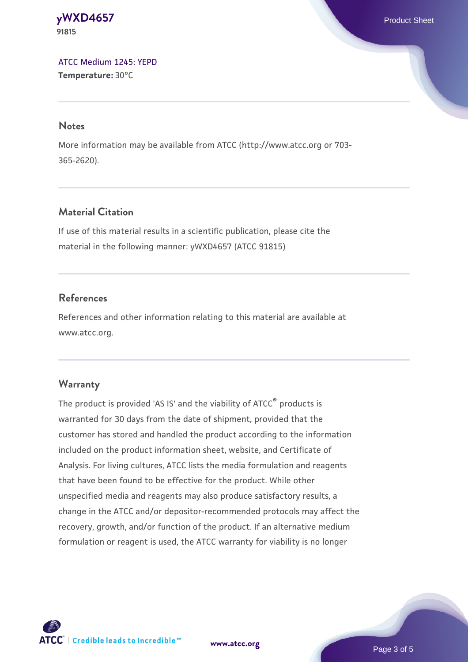**[yWXD4657](https://www.atcc.org/products/91815)** Product Sheet **91815**

[ATCC Medium 1245: YEPD](https://www.atcc.org/-/media/product-assets/documents/microbial-media-formulations/1/2/4/5/atcc-medium-1245.pdf?rev=705ca55d1b6f490a808a965d5c072196) **Temperature:** 30°C

#### **Notes**

More information may be available from ATCC (http://www.atcc.org or 703- 365-2620).

### **Material Citation**

If use of this material results in a scientific publication, please cite the material in the following manner: yWXD4657 (ATCC 91815)

#### **References**

References and other information relating to this material are available at www.atcc.org.

#### **Warranty**

The product is provided 'AS IS' and the viability of ATCC® products is warranted for 30 days from the date of shipment, provided that the customer has stored and handled the product according to the information included on the product information sheet, website, and Certificate of Analysis. For living cultures, ATCC lists the media formulation and reagents that have been found to be effective for the product. While other unspecified media and reagents may also produce satisfactory results, a change in the ATCC and/or depositor-recommended protocols may affect the recovery, growth, and/or function of the product. If an alternative medium formulation or reagent is used, the ATCC warranty for viability is no longer

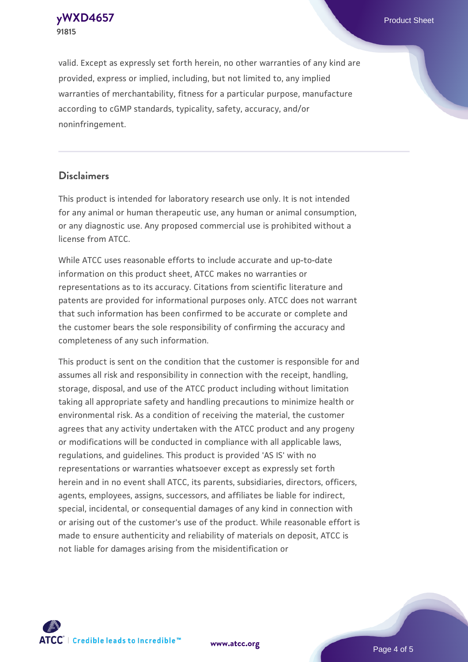**91815**

valid. Except as expressly set forth herein, no other warranties of any kind are provided, express or implied, including, but not limited to, any implied warranties of merchantability, fitness for a particular purpose, manufacture according to cGMP standards, typicality, safety, accuracy, and/or noninfringement.

#### **Disclaimers**

This product is intended for laboratory research use only. It is not intended for any animal or human therapeutic use, any human or animal consumption, or any diagnostic use. Any proposed commercial use is prohibited without a license from ATCC.

While ATCC uses reasonable efforts to include accurate and up-to-date information on this product sheet, ATCC makes no warranties or representations as to its accuracy. Citations from scientific literature and patents are provided for informational purposes only. ATCC does not warrant that such information has been confirmed to be accurate or complete and the customer bears the sole responsibility of confirming the accuracy and completeness of any such information.

This product is sent on the condition that the customer is responsible for and assumes all risk and responsibility in connection with the receipt, handling, storage, disposal, and use of the ATCC product including without limitation taking all appropriate safety and handling precautions to minimize health or environmental risk. As a condition of receiving the material, the customer agrees that any activity undertaken with the ATCC product and any progeny or modifications will be conducted in compliance with all applicable laws, regulations, and guidelines. This product is provided 'AS IS' with no representations or warranties whatsoever except as expressly set forth herein and in no event shall ATCC, its parents, subsidiaries, directors, officers, agents, employees, assigns, successors, and affiliates be liable for indirect, special, incidental, or consequential damages of any kind in connection with or arising out of the customer's use of the product. While reasonable effort is made to ensure authenticity and reliability of materials on deposit, ATCC is not liable for damages arising from the misidentification or



**[www.atcc.org](http://www.atcc.org)**

Page 4 of 5